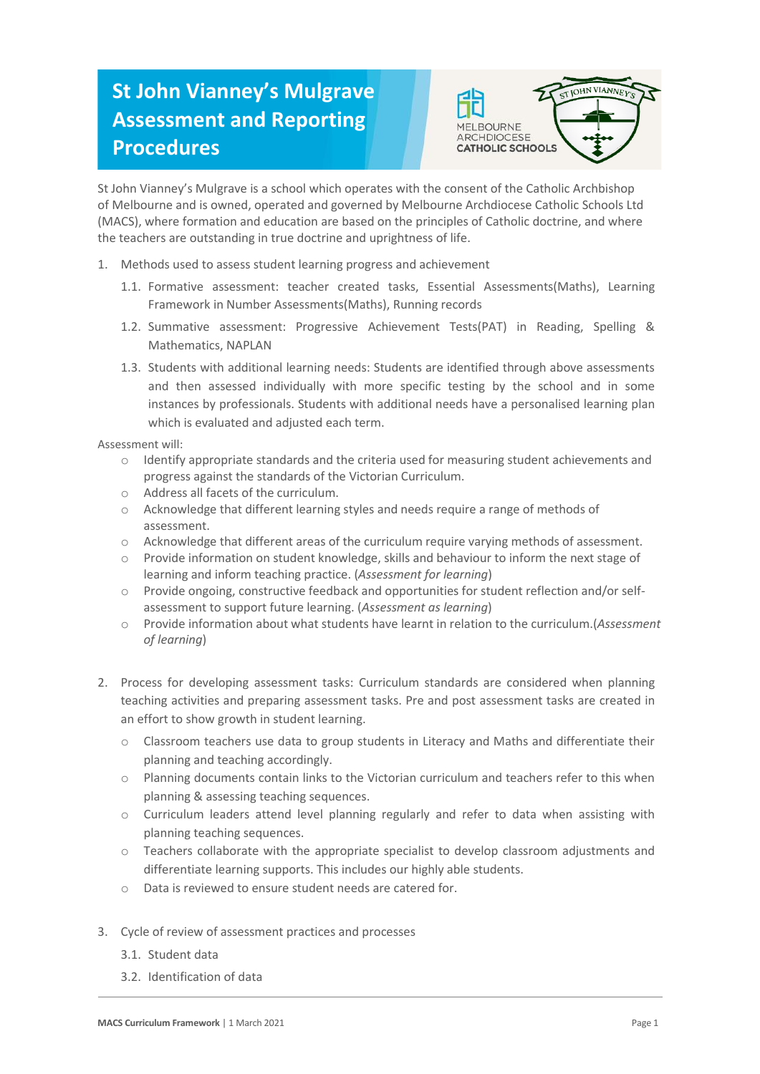## **St John Vianney's Mulgrave Assessment and Reporting Procedures**



St John Vianney's Mulgrave is a school which operates with the consent of the Catholic Archbishop of Melbourne and is owned, operated and governed by Melbourne Archdiocese Catholic Schools Ltd (MACS), where formation and education are based on the principles of Catholic doctrine, and where the teachers are outstanding in true doctrine and uprightness of life.

- 1. Methods used to assess student learning progress and achievement
	- 1.1. Formative assessment: teacher created tasks, Essential Assessments(Maths), Learning Framework in Number Assessments(Maths), Running records
	- 1.2. Summative assessment: Progressive Achievement Tests(PAT) in Reading, Spelling & Mathematics, NAPLAN
	- 1.3. Students with additional learning needs: Students are identified through above assessments and then assessed individually with more specific testing by the school and in some instances by professionals. Students with additional needs have a personalised learning plan which is evaluated and adjusted each term.

Assessment will:

- o Identify appropriate standards and the criteria used for measuring student achievements and progress against the standards of the Victorian Curriculum.
- o Address all facets of the curriculum.
- o Acknowledge that different learning styles and needs require a range of methods of assessment.
- o Acknowledge that different areas of the curriculum require varying methods of assessment.
- o Provide information on student knowledge, skills and behaviour to inform the next stage of learning and inform teaching practice. (*Assessment for learning*)
- o Provide ongoing, constructive feedback and opportunities for student reflection and/or selfassessment to support future learning. (*Assessment as learning*)
- o Provide information about what students have learnt in relation to the curriculum.(*Assessment of learning*)
- 2. Process for developing assessment tasks: Curriculum standards are considered when planning teaching activities and preparing assessment tasks. Pre and post assessment tasks are created in an effort to show growth in student learning.
	- o Classroom teachers use data to group students in Literacy and Maths and differentiate their planning and teaching accordingly.
	- o Planning documents contain links to the Victorian curriculum and teachers refer to this when planning & assessing teaching sequences.
	- o Curriculum leaders attend level planning regularly and refer to data when assisting with planning teaching sequences.
	- o Teachers collaborate with the appropriate specialist to develop classroom adjustments and differentiate learning supports. This includes our highly able students.
	- o Data is reviewed to ensure student needs are catered for.
- 3. Cycle of review of assessment practices and processes
	- 3.1. Student data
	- 3.2. Identification of data